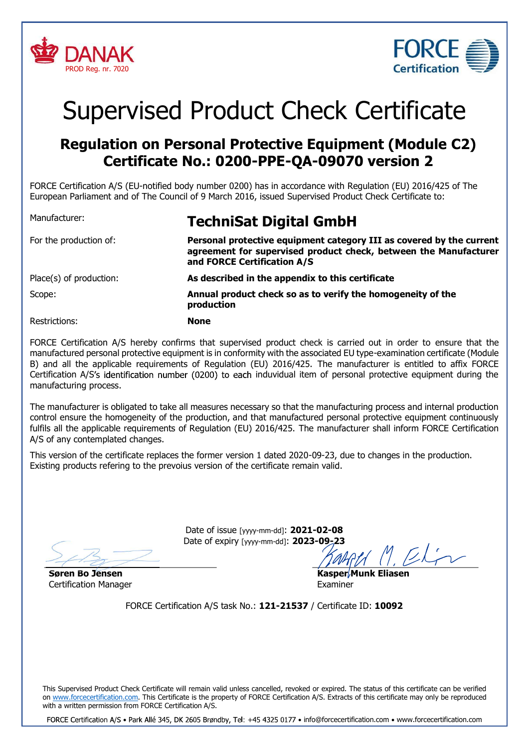



# Supervised Product Check Certificate

## Regulation on Personal Protective Equipment (Module C2) Certificate No.: 0200-PPE-QA-09070 version 2

FORCE Certification A/S (EU-notified body number 0200) has in accordance with Regulation (EU) 2016/425 of The European Parliament and of The Council of 9 March 2016, issued Supervised Product Check Certificate to:

| Manufacturer:           | <b>TechniSat Digital GmbH</b>                                                                                                                                           |
|-------------------------|-------------------------------------------------------------------------------------------------------------------------------------------------------------------------|
| For the production of:  | Personal protective equipment category III as covered by the current<br>agreement for supervised product check, between the Manufacturer<br>and FORCE Certification A/S |
| Place(s) of production: | As described in the appendix to this certificate                                                                                                                        |
| Scope:                  | Annual product check so as to verify the homogeneity of the<br>production                                                                                               |
| Restrictions:           | <b>None</b>                                                                                                                                                             |

FORCE Certification A/S hereby confirms that supervised product check is carried out in order to ensure that the manufactured personal protective equipment is in conformity with the associated EU type-examination certificate (Module B) and all the applicable requirements of Regulation (EU) 2016/425. The manufacturer is entitled to affix FORCE Certification A/S's identification number (0200) to each induvidual item of personal protective equipment during the manufacturing process.

The manufacturer is obligated to take all measures necessary so that the manufacturing process and internal production control ensure the homogeneity of the production, and that manufactured personal protective equipment continuously fulfils all the applicable requirements of Regulation (EU) 2016/425. The manufacturer shall inform FORCE Certification A/S of any contemplated changes.

This version of the certificate replaces the former version 1 dated 2020-09-23, due to changes in the production. Existing products refering to the prevoius version of the certificate remain valid.

> Date of issue [yyyy-mm-dd]: 2021-02-08 Date of expiry [yyyy-mm-dd]: 2023-09-23

Søren Bo Jensen Certification Manager

Kasper Munk Eliasen Examiner

FORCE Certification A/S task No.: 121-21537 / Certificate ID: 10092

This Supervised Product Check Certificate will remain valid unless cancelled, revoked or expired. The status of this certificate can be verified on www.forcecertification.com. This Certificate is the property of FORCE Certification A/S. Extracts of this certificate may only be reproduced with a written permission from FORCE Certification A/S.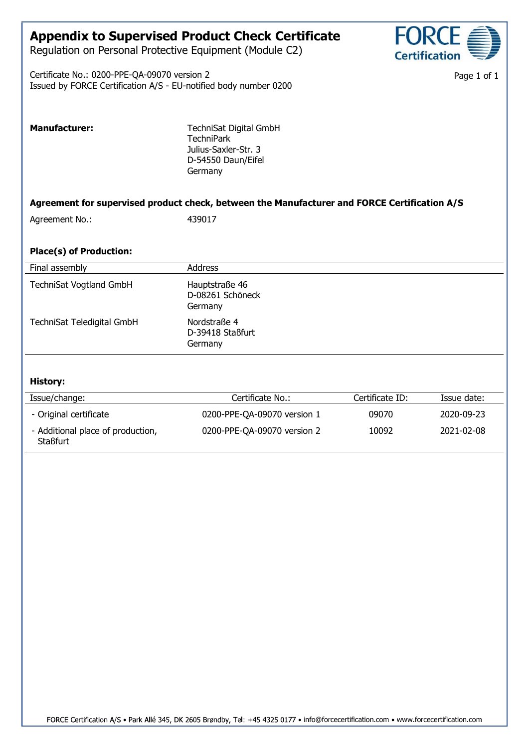### Appendix to Supervised Product Check Certificate

Regulation on Personal Protective Equipment (Module C2)

Certificate No.: 0200-PPE-QA-09070 version 2 Issued by FORCE Certification A/S - EU-notified body number 0200

**Staßfurt** 

Page 1 of 1

| <b>Manufacturer:</b>                             | TechniSat Digital GmbH<br><b>TechniPark</b><br>Julius-Saxler-Str. 3<br>D-54550 Daun/Eifel<br>Germany |                 |             |
|--------------------------------------------------|------------------------------------------------------------------------------------------------------|-----------------|-------------|
|                                                  | Agreement for supervised product check, between the Manufacturer and FORCE Certification A/S         |                 |             |
| Agreement No.:                                   | 439017                                                                                               |                 |             |
| <b>Place(s) of Production:</b><br>Final assembly | <b>Address</b>                                                                                       |                 |             |
|                                                  |                                                                                                      |                 |             |
| <b>TechniSat Vogtland GmbH</b>                   | Hauptstraße 46<br>D-08261 Schöneck<br>Germany                                                        |                 |             |
| TechniSat Teledigital GmbH                       | Nordstraße 4<br>D-39418 Staßfurt<br>Germany                                                          |                 |             |
| <b>History:</b>                                  |                                                                                                      |                 |             |
| Issue/change:                                    | Certificate No.:                                                                                     | Certificate ID: | Issue date: |
| - Original certificate                           | 0200-PPE-QA-09070 version 1                                                                          | 09070           | 2020-09-23  |
| - Additional place of production,                | 0200-PPE-QA-09070 version 2                                                                          | 10092           | 2021-02-08  |

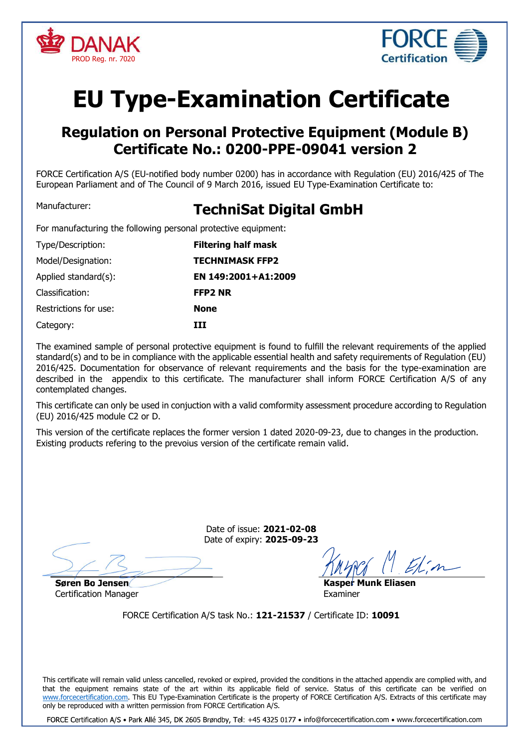



## EU Type-Examination Certificate

### Regulation on Personal Protective Equipment (Module B) Certificate No.: 0200-PPE-09041 version 2

FORCE Certification A/S (EU-notified body number 0200) has in accordance with Regulation (EU) 2016/425 of The European Parliament and of The Council of 9 March 2016, issued EU Type-Examination Certificate to:

### Manufacturer: TechniSat Digital GmbH

For manufacturing the following personal protective equipment:

| Type/Description:     | <b>Filtering half mask</b> |
|-----------------------|----------------------------|
| Model/Designation:    | <b>TECHNIMASK FFP2</b>     |
| Applied standard(s):  | EN 149:2001+A1:2009        |
| Classification:       | <b>FFP2 NR</b>             |
| Restrictions for use: | <b>None</b>                |
| Category:             | TTT                        |

The examined sample of personal protective equipment is found to fulfill the relevant requirements of the applied standard(s) and to be in compliance with the applicable essential health and safety requirements of Regulation (EU) 2016/425. Documentation for observance of relevant requirements and the basis for the type-examination are described in the appendix to this certificate. The manufacturer shall inform FORCE Certification A/S of any contemplated changes.

This certificate can only be used in conjuction with a valid comformity assessment procedure according to Regulation (EU) 2016/425 module C2 or D.

This version of the certificate replaces the former version 1 dated 2020-09-23, due to changes in the production. Existing products refering to the prevoius version of the certificate remain valid.

> Date of issue: 2021-02-08 Date of expiry: 2025-09-23

Søren Bo Jensen Certification Manager

Kasper Munk Eliasen Examiner

FORCE Certification A/S task No.: 121-21537 / Certificate ID: 10091

This certificate will remain valid unless cancelled, revoked or expired, provided the conditions in the attached appendix are complied with, and that the equipment remains state of the art within its applicable field of service. Status of this certificate can be verified on www.forcecertification.com. This EU Type-Examination Certificate is the property of FORCE Certification A/S. Extracts of this certificate may only be reproduced with a written permission from FORCE Certification A/S.

FORCE Certification A/S · Park Allé 345, DK 2605 Brøndby, Tel: +45 4325 0177 · info@forcecertification.com · www.forcecertification.com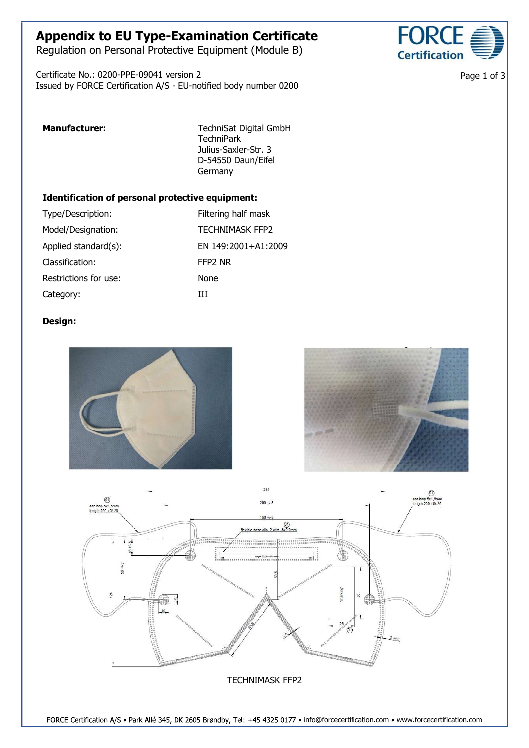### Appendix to EU Type-Examination Certificate

Regulation on Personal Protective Equipment (Module B)

Certificate No.: 0200-PPE-09041 version 2 Issued by FORCE Certification A/S - EU-notified body number 0200



Page 1 of 3

Manufacturer: TechniSat Digital GmbH **TechniPark** Julius-Saxler-Str. 3 D-54550 Daun/Eifel **Germany** 

#### Identification of personal protective equipment:

| Type/Description:     | Filtering half mask    |
|-----------------------|------------------------|
| Model/Designation:    | <b>TECHNIMASK FFP2</b> |
| Applied standard(s):  | EN 149:2001+A1:2009    |
| Classification:       | FFP <sub>2</sub> NR    |
| Restrictions for use: | None                   |
| Category:             | ш                      |

#### Design:





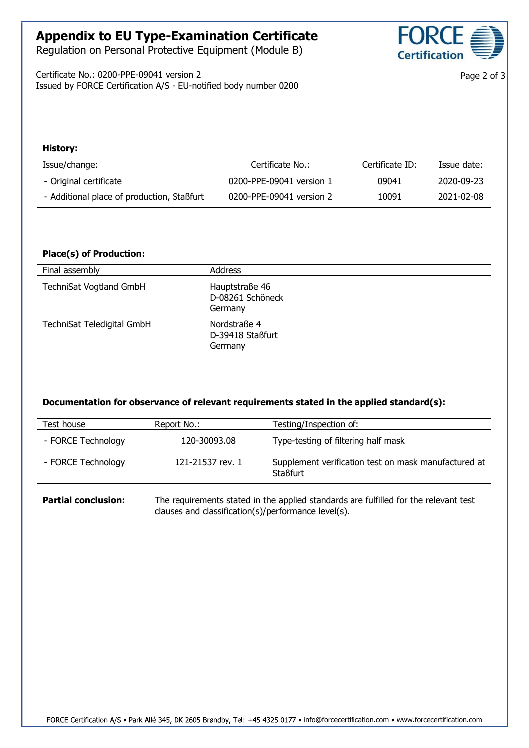### Appendix to EU Type-Examination Certificate

Regulation on Personal Protective Equipment (Module B)

Certificate No.: 0200-PPE-09041 version 2 Issued by FORCE Certification A/S - EU-notified body number 0200



Page 2 of 3

#### History:

| Issue/change:                              | Certificate No.:         | Certificate ID: | Issue date: |
|--------------------------------------------|--------------------------|-----------------|-------------|
| - Original certificate                     | 0200-PPE-09041 version 1 | 09041           | 2020-09-23  |
| - Additional place of production, Staßfurt | 0200-PPE-09041 version 2 | 10091           | 2021-02-08  |

### Place(s) of Production:

| Final assembly                 | <b>Address</b>                                |  |
|--------------------------------|-----------------------------------------------|--|
| <b>TechniSat Vogtland GmbH</b> | Hauptstraße 46<br>D-08261 Schöneck<br>Germany |  |
| TechniSat Teledigital GmbH     | Nordstraße 4<br>D-39418 Staßfurt<br>Germany   |  |

#### Documentation for observance of relevant requirements stated in the applied standard(s):

| Test house         | Report No.:      | Testing/Inspection of:                                                  |
|--------------------|------------------|-------------------------------------------------------------------------|
| - FORCE Technology | 120-30093.08     | Type-testing of filtering half mask                                     |
| - FORCE Technology | 121-21537 rev. 1 | Supplement verification test on mask manufactured at<br><b>Staßfurt</b> |

**Partial conclusion:** The requirements stated in the applied standards are fulfilled for the relevant test clauses and classification(s)/performance level(s).